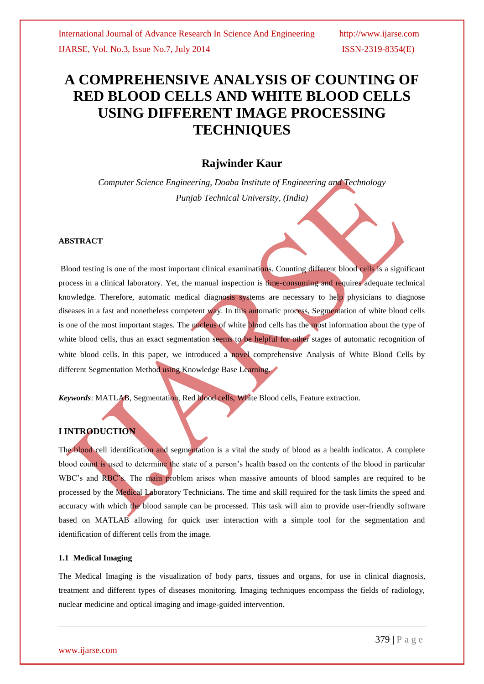# **A COMPREHENSIVE ANALYSIS OF COUNTING OF RED BLOOD CELLS AND WHITE BLOOD CELLS USING DIFFERENT IMAGE PROCESSING TECHNIQUES**

# **Rajwinder Kaur**

*Computer Science Engineering, Doaba Institute of Engineering and Technology Punjab Technical University, (India)*

#### **ABSTRACT**

Blood testing is one of the most important clinical examinations. Counting different blood cells is a significant process in a clinical laboratory. Yet, the manual inspection is time-consuming and requires adequate technical knowledge. Therefore, automatic medical diagnosis systems are necessary to help physicians to diagnose diseases in a fast and nonetheless competent way. In this automatic process, Segmentation of white blood cells is one of the most important stages. The nucleus of white blood cells has the most information about the type of white blood cells, thus an exact segmentation seems to be helpful for other stages of automatic recognition of white blood cells. In this paper, we introduced a novel comprehensive Analysis of White Blood Cells by different Segmentation Method using Knowledge Base Learning.

*Keywords*: MATLAB, Segmentation, Red blood cells, White Blood cells, Feature extraction.

## **I INTRODUCTION**

The blood cell identification and segmentation is a vital the study of blood as a health indicator. A complete blood count is used to determine the state of a person's health based on the contents of the blood in particular WBC's and RBC's. The main problem arises when massive amounts of blood samples are required to be processed by the Medical Laboratory Technicians. The time and skill required for the task limits the speed and accuracy with which the blood sample can be processed. This task will aim to provide user-friendly software based on MATLAB allowing for quick user interaction with a simple tool for the segmentation and identification of different cells from the image.

#### **1.1 Medical Imaging**

The Medical Imaging is the visualization of body parts, tissues and organs, for use in clinical diagnosis, treatment and different types of diseases monitoring. Imaging techniques encompass the fields of radiology, nuclear medicine and optical imaging and image-guided intervention.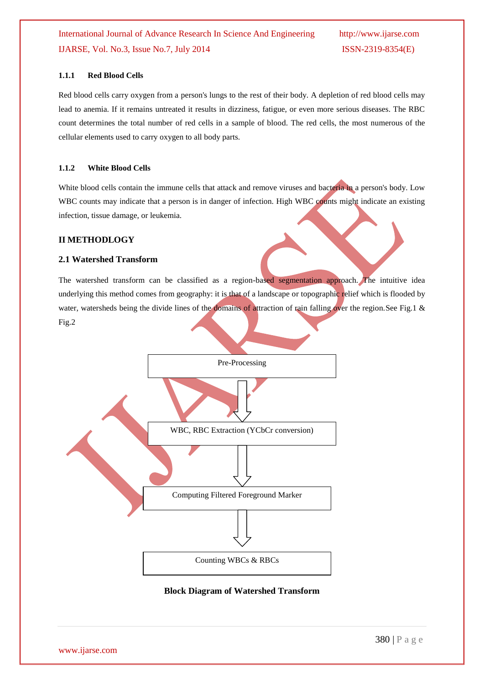International Journal of Advance Research In Science And Engineering http://www.ijarse.com IJARSE, Vol. No.3, Issue No.7, July 2014 ISSN-2319-8354(E)

## **1.1.1 Red Blood Cells**

Red blood cells carry oxygen from a person's lungs to the rest of their body. A depletion of red blood cells may lead to anemia. If it remains untreated it results in dizziness, fatigue, or even more serious diseases. The RBC count determines the total number of red cells in a sample of blood. The red cells, the most numerous of the cellular elements used to carry oxygen to all body parts.

#### **1.1.2 White Blood Cells**

White blood cells contain the immune cells that attack and remove viruses and bacteria in a person's body. Low WBC counts may indicate that a person is in danger of infection. High WBC counts might indicate an existing infection, tissue damage, or leukemia.

### **II METHODLOGY**

#### **2.1 Watershed Transform**

The watershed transform can be classified as a region-based segmentation approach. The intuitive idea underlying this method comes from geography: it is that of a landscape or topographic relief which is flooded by water, watersheds being the divide lines of the domains of attraction of rain falling over the region.See Fig.1 & Fig.2



## **Block Diagram of Watershed Transform**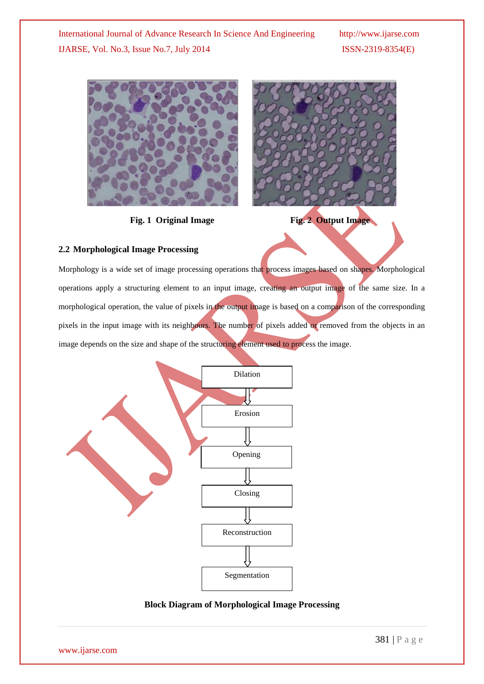

**Fig. 1 Original Image Fig. 2 Output Image** 



# **2.2 Morphological Image Processing**

Morphology is a wide set of image processing operations that process images based on shapes. Morphological operations apply a structuring element to an input image, creating an output image of the same size. In a morphological operation, the value of pixels in the output image is based on a comparison of the corresponding pixels in the input image with its neighbours. The number of pixels added or removed from the objects in an image depends on the size and shape of the structuring element used to process the image.



# **Block Diagram of Morphological Image Processing**

www.ijarse.com